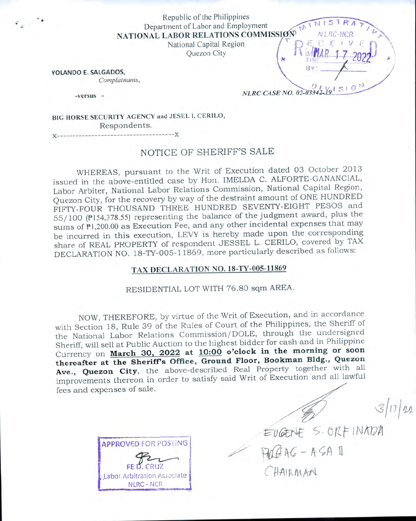Republic of the Philippines Department of Labor and Employment NATIONAL LABOR RELATIONS COMMISSION NURC NCR NATIONAL LABOR RELATIONS COMMISSION NURC NCR  $\bigcup_{\mu} E_{\mu} C_{\mu} E_{\mu}$ 

National Capital Region<br>Ouezon City

YOLANDO E. SALGADOS, *Complainants,*

-versus -

*NLRC* CASE *NO.* 02-03342-Y<sub>S</sub>ISIO

MAR 17 2022

BIG HORSE SECURITY AGENCY and JESEL I. CERILO, Respondents.

**X**----------------------------------------------------------**X**

# NOTICE OF SHERIFF'S SALE

WHEREAS, pursuant to the Writ of Execution dated 03 October 2013 issued in the above-entitled case by Hon. IMELDA C. ALFORTE-GANANCIAL, Labor Arbiter, National Labor Relations Commission, National Capital Region, Quezon City, for the recovery by way of the destraint amount of ONE HUNDRED FIFTY-FOUR THOUSAND THREE HUNDRED SEVENTY-EIGHT PESOS and 55/100 (P154,378.55) representing the balance of the judgment award, plus the sums of PI,200.00 as Execution Fee, and any other incidental expenses that may be incurred in this execution, LEVY is hereby made upon the corresponding share of REAL PROPERTY of respondent JESSEL L. CERILO, covered by TAX DECLARATION NO. 18-TY-005-11869, more particularly described as follows:

## TAX DECLARATION NO. 18-TY-005-11869

RESIDENTIAL LOT WITH 76.80 sqm AREA.

NOW, THEREFORE, by virtue of the Writ of Execution, and in accordance with Section 18, Rule 39 of the Rules of Court of the Philippines, the Sheriff of the National Labor Relations Commission/DOLE, through the undersigned Sheriff, will sell at Public Auction to the highest bidder for cash and in Philippine Currency on **March 30. 2022 at 10:00 o'clock in the morning or soon thereafter at the SherifFs Office, Ground Floor, Bookman Bldg., Quezon** Ave., Quezon City, the above-described Real Property together with all improvements thereon in order to satisfy said W fees and expenses of sale.

APPROVED FOR POSTiNG FE O. CRU2 Labor Arbitration Associate NLRC-NCR

EVGENE S-ORFINADA C HAIRMAN

 $3|17|22$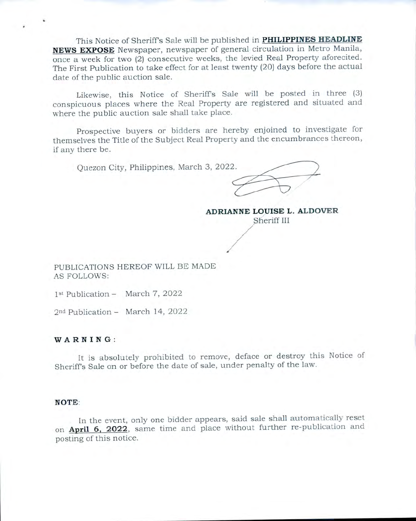This Notice of Sheriff's Sale will be published in PHILIPPINES HEADLINE NEWS EXPOSE Newspaper, newspaper of general circulation in Metro Manila, once a week for two (2) consecutive weeks, the levied Real Property aforecited. The First Publication to take effect for at least twenty (20) days before the actual date of the public auction sale.

Likewise, this Notice of Sheriff's Sale will be posted in three (3) conspicuous places where the Real Property are registered and situated and where the public auction sale shall take place.

Prospective buyers or bidders are hereby enjoined to investigate for themselves the Title of the Subject Real Property and the encumbrances thereon, if any there be.

Ouezon City, Philippines, March 3, 2022.

ADRIANNE LOUISE L. ALDOVER

Sheriff III

PUBLICATIONS HEREOF WILL BE MADE **AS FOLLOWS:** 

1st Publication - March 7, 2022

2<sup>nd</sup> Publication - March 14, 2022

#### WARNING:

It is absolutely prohibited to remove, deface or destroy this Notice of Sheriff's Sale on or before the date of sale, under penalty of the law.

#### NOTE:

In the event, only one bidder appears, said sale shall automatically reset on April 6, 2022, same time and place without further re-publication and posting of this notice.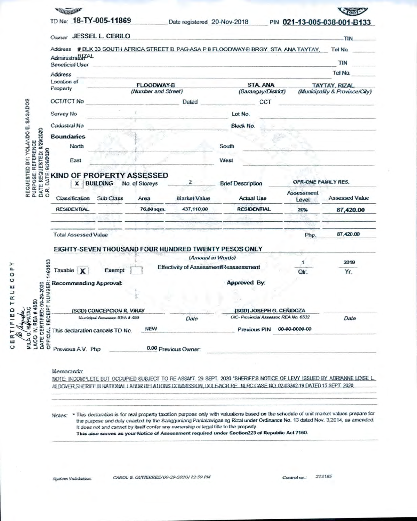|                                                      | TD No: 18-TY-005-11869                         |                                          |            | Date registered 20-Nov-2018 |                                                                                                 | PIN 021-13-005-038-001-B133 |                       |
|------------------------------------------------------|------------------------------------------------|------------------------------------------|------------|-----------------------------|-------------------------------------------------------------------------------------------------|-----------------------------|-----------------------|
|                                                      | Owner JESSEL L. CERILO                         |                                          |            |                             |                                                                                                 |                             | <b>TIN</b>            |
|                                                      |                                                |                                          |            |                             |                                                                                                 |                             |                       |
|                                                      | Administral&ZAL                                |                                          |            |                             | Address # BLK 33 SOUTH AFRICA STREET B. PAG-ASA P 8 FLOODWAY-B BRGY, STA, ANA TAYTAY, Tel No.   |                             |                       |
|                                                      | <b>Beneficial User</b>                         |                                          |            |                             |                                                                                                 |                             | TIN                   |
|                                                      | Address                                        |                                          |            |                             |                                                                                                 |                             | Tel No.               |
|                                                      | Location of                                    |                                          |            |                             |                                                                                                 |                             |                       |
|                                                      | Property                                       | <b>FLOODWAY-B</b><br>(Number and Street) |            |                             | <b>STA ANA</b><br><b>TAYTAY, RIZAL</b><br>(Barangay/District)<br>(Municipality & Province/City) |                             |                       |
|                                                      |                                                |                                          |            |                             |                                                                                                 |                             |                       |
|                                                      | <b>OCT/TCT No</b>                              |                                          |            | Dated                       | CCT                                                                                             |                             |                       |
|                                                      | Survey No                                      |                                          |            |                             | Lot No.                                                                                         |                             |                       |
| REQUESTED BY: YOLANDO E. SAGADOS                     | Cadastral No                                   |                                          |            |                             | Block No.                                                                                       |                             |                       |
|                                                      | <b>Boundaries</b>                              |                                          |            |                             |                                                                                                 |                             |                       |
|                                                      | North                                          |                                          |            |                             | South                                                                                           |                             |                       |
|                                                      |                                                |                                          |            |                             |                                                                                                 |                             |                       |
| 0/202020                                             | East                                           |                                          |            |                             | West                                                                                            |                             |                       |
|                                                      |                                                |                                          |            |                             |                                                                                                 |                             |                       |
| DATE                                                 | KIND OF PROPERTY ASSESSED                      |                                          |            | $\mathbf{z}$                |                                                                                                 | OFR-ONE FAMILY RES.         |                       |
| DATE REQUESTED: 9/29/2020<br>PURPOSE: REFERENCE<br>œ |                                                | <b>BUILDING</b><br>No. of Storeys<br>x   |            |                             | <b>Brief Description</b>                                                                        |                             |                       |
| $\circ$                                              | Classification                                 | Sub Class                                | Area       | <b>Market Value</b>         | <b>Actual Use</b>                                                                               | Assessment<br>Level         | <b>Assessed Value</b> |
|                                                      | <b>RESIDENTIAL</b>                             |                                          | 76.80 sqm. | 437,110.00                  | <b>RESIDENTIAL</b>                                                                              | 20%                         | 87,420.00             |
|                                                      |                                                |                                          |            |                             |                                                                                                 |                             |                       |
|                                                      |                                                |                                          |            |                             |                                                                                                 |                             |                       |
|                                                      | <b>Total Assessed Value</b>                    |                                          |            |                             |                                                                                                 | Php.                        | 87,420.00             |
|                                                      |                                                |                                          |            |                             | EIGHTY-SEVEN THOUSAND FOUR HUNDRED TWENTY PESOS ONLY                                            |                             |                       |
|                                                      |                                                |                                          |            | (Amount in Words)           |                                                                                                 |                             |                       |
| 493663                                               |                                                |                                          |            |                             | Effectivity of Assessment/Reassessment                                                          |                             | 2019                  |
|                                                      | Taxable X                                      | Exempt                                   |            |                             |                                                                                                 |                             | Yr.                   |
|                                                      |                                                |                                          |            |                             | Approved By:                                                                                    |                             |                       |
|                                                      |                                                |                                          |            |                             |                                                                                                 |                             |                       |
|                                                      |                                                |                                          |            |                             |                                                                                                 |                             |                       |
|                                                      |                                                |                                          |            |                             | (SGD) JOSEPH G. CENIDOZA                                                                        |                             |                       |
| 08-29-2020<br>S                                      | ir Recommending Approval:<br>ma<br>2<br>2<br>2 |                                          |            |                             |                                                                                                 |                             |                       |
| TAC                                                  |                                                | (SGD) CONCEPCION R. VIRAY                |            |                             | OIC-Provincial Assessor, REA No. 6532                                                           |                             |                       |
| <b>REA # 4</b>                                       |                                                | Municipal Assessor-REA # 499             |            | Date                        |                                                                                                 |                             | Date                  |
| CERTIFIED:<br>o                                      | This declaration cancels TD No.                |                                          | <b>NEW</b> |                             | Previous PIN                                                                                    | 00-00-0000-00               |                       |
| OFFICIAL RECEIPT<br>LAOO IV,<br><b>DATE</b><br>MILA  | Previous A.V. Php                              |                                          |            | 0.00 Previous Owner:        |                                                                                                 |                             |                       |

NOTE: INCOMPLETE BUT OCCUPIED SUBJECT TO RE-ASSM/T. 29 SEPT. 2020 "SHERIFF'S NOTICE OF LEVY ISSUED BY ADRIANNE LOISE L. ALDOVER SHERIFF III NATIONAL LABOR RELATIONS COMMISSION, DOLE-NCR RE. NLRC CASE NO. 02-03342-19 DATED 15 SEPT. 2020.

Notes: \* This declaration is for real property taxation purpose only with valuations based on the schedule of unit market values prepare for the purpose and duly enacted by the Sangguniang Panlalawigan ng Rizal under Ordinance No. 13 dated Nov. 3,2014, as amended. It does not and cannot by itself confer any ownership or legal title to the property. This also serves as your Notice of Assessment required under Section223 of Republic Act 7160.

System Validation:

Control no.: 213185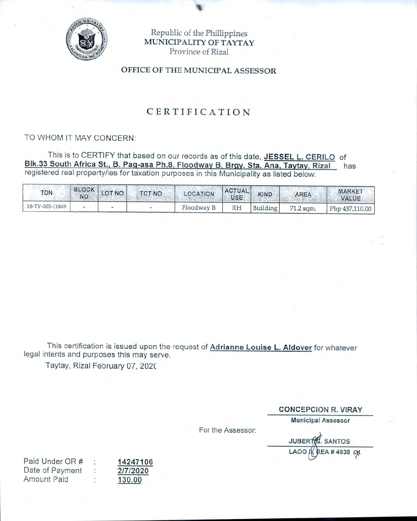

Republic of the Phillippines MUNICIPALITY OF TAYTAY Province of Rizal

OFFICE OF THE MUNICIPAL ASSESSOR

# CERTIFICATION

### TO WHOM IT MAY CONCERN:

This is to CERTIFY that based on our records as of this date, JESSEL L. CERILO of Blk.33 South Africa St., B. Pag-asa Ph.8, Floodway B, Brgy. Sta. Ana, Taytay, Rizal has registered real property/ies for taxation purposes in this Municipality as listed below:

| <b>TDN</b>      | BLOCK LOT NO | <b>TCT NO</b> | <b>LOCATION</b> | <b>ACTUAL</b><br>USE | <b>KIND</b> | <b>AREA</b> | <b>MARKET</b><br>VALUE |
|-----------------|--------------|---------------|-----------------|----------------------|-------------|-------------|------------------------|
| 18-TY-005-11869 |              |               | Floodway B      | RH                   | Building    | 71.2 sqm.   | $Php$ 437,110.00       |

This certification is issued upon the request of Adrianne Louise L. Aldover for whatever legal intents and purposes this may serve.

Taytay, Rizal February 07, 2020

**CONCEPCION R. VIRAY** 

**Municipal Assessor** 

For the Assessor:

JUBERT. SANTOS **REA # 4938 OM** LAOO I

Paid Under OR # Date of Payment  $\ddot{\cdot}$ **Amount Paid** 

14247106 2/7/2020 130.00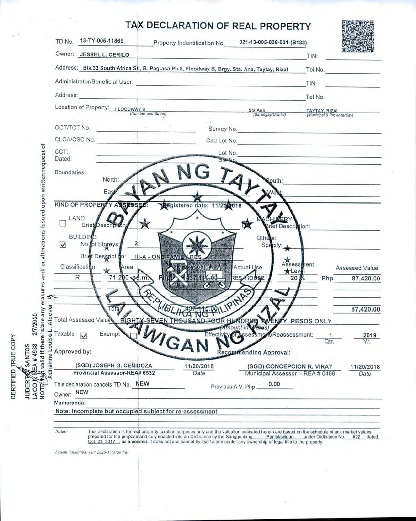

prepared for the purpose and duly enacted into an Ordinance by the Sangguniang<br>Oct. 23, 2017, as amended. It does not and cannot by itself alone confer any ownership or legal title to the property.

System Validation: -2/7/2020-1:13:58 PM

CERTIFIED TRUE COPY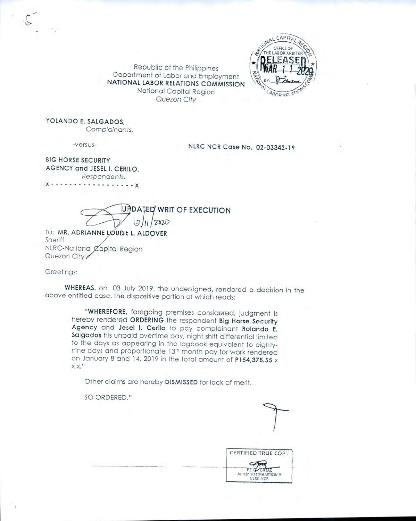

Republic of the Philippines Department of Labor and Employment NATIONAL LABOR RELATIONS COMMISSION National Capital Region Quezon City

YOLANDO E. SALGADOS,

Complainants,

-versus-

NLRC NCR Case No. 02-03342-19

**BIG HORSE SECURITY** AGENCY and JESEL I. CERILO, Respondents.

. . . . . . . . . . . . . . . . x

UPDATED WRIT OF EXECUTION  $2020$ 

TO: MR. ADRIANNE LOUISE L. ALDOVER Sheriff NLRC-National Capital Region Quezon City

Greetings:

WHEREAS, on 03 July 2019, the undersigned, rendered a decision in the above entitled case, the dispositive portion of which reads:

"WHEREFORE, foregoing premises considered, judgment is hereby rendered ORDERING the respondent Big Horse Security Agency and Jesel I. Cerilo to pay complainant Rolando E. Salgados his unpaid overtime pay, night shift differential limited to the days as appearing in the logbook equivalent to eightynine days and proportionate 13th month pay for work rendered on January 8 and 14, 2019 in the total amount of P154,378.55 x  $XX$ ."

Other claims are hereby DISMISSED for lack of merit.

SO ORDERED."

**CERTIFIED TRUE COPY** FE DCRUZ Administrati Mistrative Officer V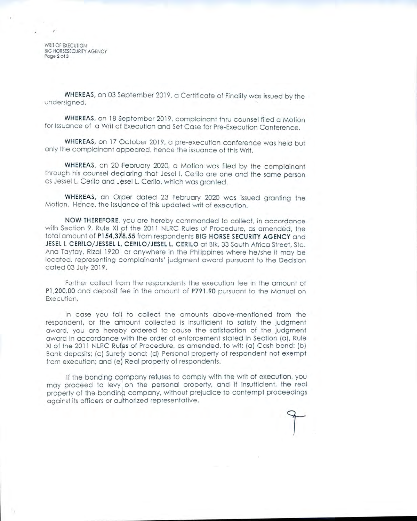WRIT OF EXECUTION BIG HORSESECURITY AGENCY Page 2 of 3

WHEREAS, on 03 September 2019, a Certificate of Finality was issued by the undersigned.

WHEREAS. on 18 September 2019. complainant thru counsel filed a Motion for Issuance of a Writ of Execution and Set Case for Pre-Execution Conference.

WHEREAS, on 17 October 2019, a pre-execution conference was held but only the complainant appeared, hence the issuance of this Writ.

WHEREAS, on 20 February 2020, a Motion was filed by the complainant through his counsel declaring that Jesel I. Cerilo are one and the same person as Jessel L. Cerilo and Jesel L. Cerilo, which was granted.

WHEREAS, an Order dated 23 February 2020 was issued aranting the Motion. Hence, the issuance of this updated writ of execution.

NOW THEREFORE, you are hereby commanded to collect, in accordance with Section 9, Rule XI of the 2011 NLRC Rules of Procedure, as amended, the total amount of P154,378.55 from respondents BIG HORSE SECURITY AGENCY and JESEL I, CERILO/JESSEL L, CERILO/JESEL L. CERILO at Blk. 33 South Africa Street. Sta. And Taytay, Rizal 1920 or anywhere in the Philippines where he/she it may be located, representing complainants' judgment award pursuant to the Decision dated 03 July 2019.

Further collect from the respondents the execution fee in the amount of P1,200.00 and deposit fee in the amount of P791.90 pursuant to the Manual on Execution.

In case you fail to collect the amounts above-mentioned from the respondent, or the amount collected is insufficient to satisfy the judgment award, you are hereby ordered to cause the satisfaction of the judament award in accordance with the order of enforcement stated in Section (a), Rule XI of the 2011 NLRC Rules of Procedure, as amended, to wit: (a) Cash bond; (b) Bank deposits; (c) Surety bond; (d) Personal property of respondent not exempt from execution; and (e) Real property of respondents.

If the bonding company refuses to comply with the writ of execution, you may proceed to levy on the personal property, and if insufficient, the real property of the bonding company, without prejudice to contempt proceedings against its officers or authorized representative.